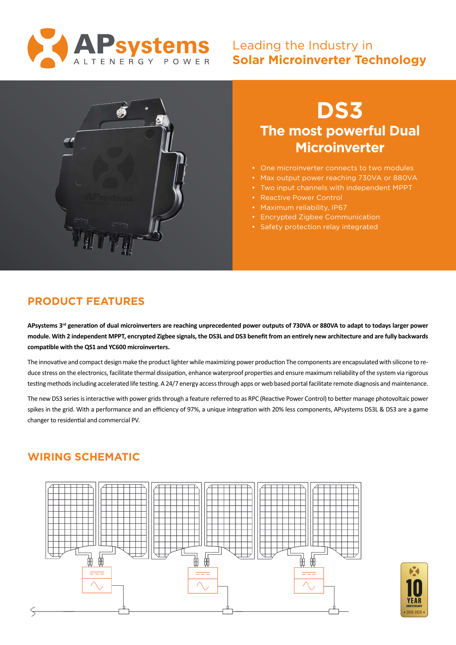

## Leading the Industry in **Solar Microinverter Technology**



# **DS3 The most powerful Dual Microinverter**

- One microinverter connects to two modules
- Max output power reaching 730VA or 880VA
- Two input channels with independent MPPT
- Reactive Power Control
- Maximum reliability, IP67
- Encrypted Zigbee Communication
- Safety protection relay integrated

## **PRODUCT FEATURES**

**APsystems 3rd generation of dual microinverters are reaching unprecedented power outputs of 730VA or 880VA to adapt to todays larger power module. With 2 independent MPPT, encrypted Zigbee signals, the DS3L and DS3 benefit from an entirely new architecture and are fully backwards compatible with the QS1 and YC600 microinverters.**

The innovative and compact design make the product lighter while maximizing power production The components are encapsulated with silicone to reduce stress on the electronics, facilitate thermal dissipation, enhance waterproof properties and ensure maximum reliability of the system via rigorous testing methods including accelerated life testing. A 24/7 energy access through apps or web based portal facilitate remote diagnosis and maintenance.

The new DS3 series is interactive with power grids through a feature referred to as RPC (Reactive Power Control) to better manage photovoltaic power spikes in the grid. With a performance and an efficiency of 97%, a unique integration with 20% less components, APsystems DS3L & DS3 are a game changer to residential and commercial PV.

### **WIRING SCHEMATIC**